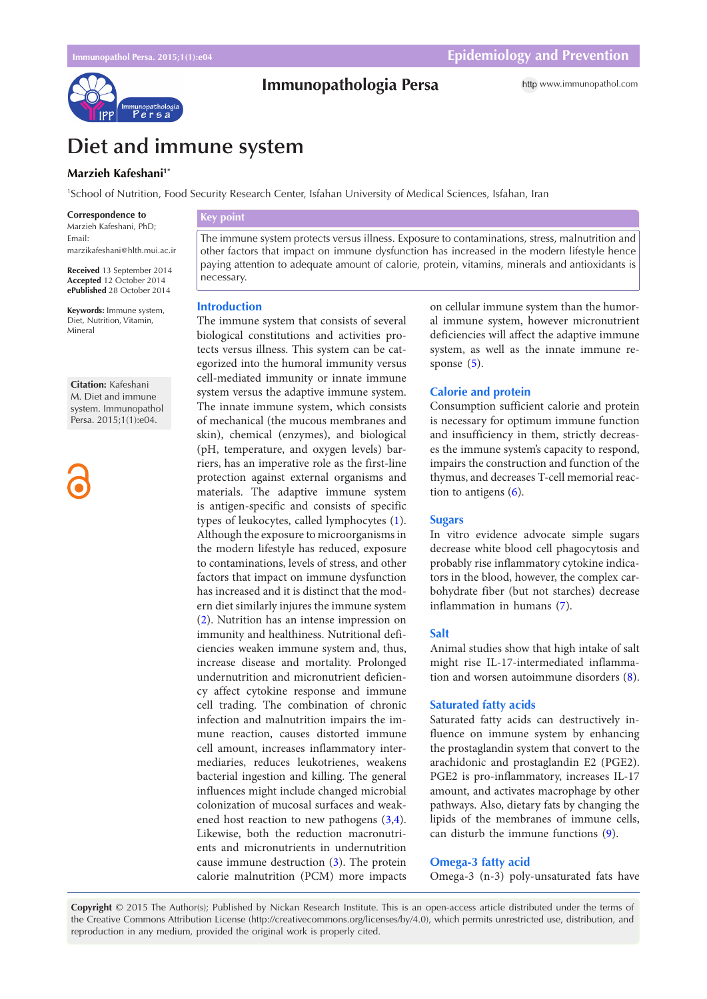

# **Immunopathologia Persa**

http [www.immunopathol.com](http://www.immunopathol.com)

# **Diet and immune system**

# **Marzieh Kafeshani1\***

1 School of Nutrition, Food Security Research Center, Isfahan University of Medical Sciences, Isfahan, Iran

**Correspondence to** Marzieh Kafeshani, PhD; Email: marzikafeshani@hlth.mui.ac.ir

**Received** 13 September 2014 **Accepted** 12 October 2014 **ePublished** 28 October 2014

**Keywords:** Immune system, Diet, Nutrition, Vitamin, Mineral

**Citation:** Kafeshani M. Diet and immune system. Immunopathol Persa. 2015;1(1):e04.

# **Key point**

The immune system protects versus illness. Exposure to contaminations, stress, malnutrition and other factors that impact on immune dysfunction has increased in the modern lifestyle hence paying attention to adequate amount of calorie, protein, vitamins, minerals and antioxidants is necessary.

## **Introduction**

The immune system that consists of several biological constitutions and activities protects versus illness. This system can be categorized into the humoral immunity versus cell-mediated immunity or innate immune system versus the adaptive immune system. The innate immune system, which consists of mechanical (the mucous membranes and skin), chemical (enzymes), and biological (pH, temperature, and oxygen levels) barriers, has an imperative role as the first-line protection against external organisms and materials. The adaptive immune system is antigen-specific and consists of specific types of leukocytes, called lymphocytes ([1\)](#page-1-0). Although the exposure to microorganisms in the modern lifestyle has reduced, exposure to contaminations, levels of stress, and other factors that impact on immune dysfunction has increased and it is distinct that the modern diet similarly injures the immune system [\(2](#page-1-1)). Nutrition has an intense impression on immunity and healthiness. Nutritional deficiencies weaken immune system and, thus, increase disease and mortality. Prolonged undernutrition and micronutrient deficiency affect cytokine response and immune cell trading. The combination of chronic infection and malnutrition impairs the immune reaction, causes distorted immune cell amount, increases inflammatory intermediaries, reduces leukotrienes, weakens bacterial ingestion and killing. The general influences might include changed microbial colonization of mucosal surfaces and weakened host reaction to new pathogens ([3,](#page-1-2)[4\)](#page-1-3). Likewise, both the reduction macronutrients and micronutrients in undernutrition cause immune destruction ([3](#page-1-2)). The protein calorie malnutrition (PCM) more impacts on cellular immune system than the humoral immune system, however micronutrient deficiencies will affect the adaptive immune system, as well as the innate immune response ([5\)](#page-1-4).

# **Calorie and protein**

Consumption sufficient calorie and protein is necessary for optimum immune function and insufficiency in them, strictly decreases the immune system's capacity to respond, impairs the construction and function of the thymus, and decreases T-cell memorial reaction to antigens [\(6\)](#page-1-5).

#### **Sugars**

In vitro evidence advocate simple sugars decrease white blood cell phagocytosis and probably rise inflammatory cytokine indicators in the blood, however, the complex carbohydrate fiber (but not starches) decrease inflammation in humans ([7](#page-1-6)).

## **Salt**

Animal studies show that high intake of salt might rise IL-17-intermediated inflammation and worsen autoimmune disorders [\(8\)](#page-1-7).

## **Saturated fatty acids**

Saturated fatty acids can destructively influence on immune system by enhancing the prostaglandin system that convert to the arachidonic and prostaglandin E2 (PGE2). PGE2 is pro-inflammatory, increases IL-17 amount, and activates macrophage by other pathways. Also, dietary fats by changing the lipids of the membranes of immune cells, can disturb the immune functions ([9](#page-1-8)).

#### **Omega-3 fatty acid**

Omega-3 (n-3) poly-unsaturated fats have

**Copyright** © 2015 The Author(s); Published by Nickan Research Institute. This is an open-access article distributed under the terms of the Creative Commons Attribution License (http://creativecommons.org/licenses/by/4.0), which permits unrestricted use, distribution, and reproduction in any medium, provided the original work is properly cited.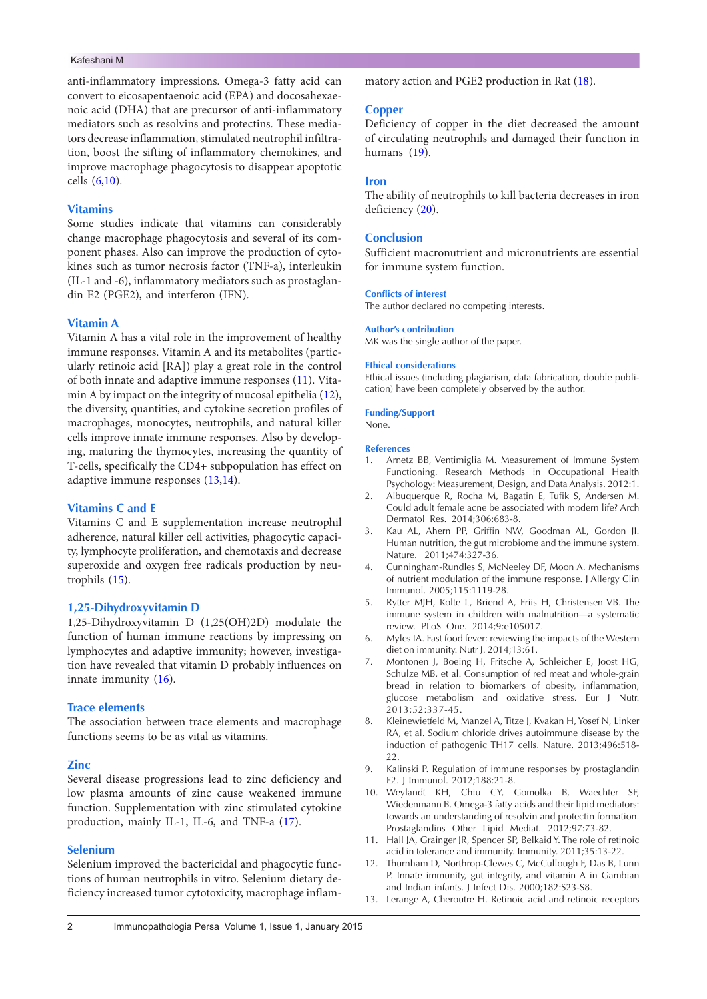#### Kafeshani M

anti-inflammatory impressions. Omega-3 fatty acid can convert to eicosapentaenoic acid (EPA) and docosahexaenoic acid (DHA) that are precursor of anti-inflammatory mediators such as resolvins and protectins. These mediators decrease inflammation, stimulated neutrophil infiltration, boost the sifting of inflammatory chemokines, and improve macrophage phagocytosis to disappear apoptotic cells ([6](#page-1-5),[10](#page-1-9)).

# **Vitamins**

Some studies indicate that vitamins can considerably change macrophage phagocytosis and several of its component phases. Also can improve the production of cytokines such as tumor necrosis factor (TNF-a), interleukin (IL-1 and -6), inflammatory mediators such as prostaglandin E2 (PGE2), and interferon (IFN).

## **Vitamin A**

Vitamin A has a vital role in the improvement of healthy immune responses. Vitamin A and its metabolites (particularly retinoic acid [RA]) play a great role in the control of both innate and adaptive immune responses ([11](#page-1-10)). Vitamin A by impact on the integrity of mucosal epithelia [\(12\)](#page-1-11), the diversity, quantities, and cytokine secretion profiles of macrophages, monocytes, neutrophils, and natural killer cells improve innate immune responses. Also by developing, maturing the thymocytes, increasing the quantity of T-cells, specifically the CD4+ subpopulation has effect on adaptive immune responses [\(13,](#page-1-12)[14\)](#page-2-0).

## **Vitamins C and E**

Vitamins C and E supplementation increase neutrophil adherence, natural killer cell activities, phagocytic capacity, lymphocyte proliferation, and chemotaxis and decrease superoxide and oxygen free radicals production by neutrophils ([15](#page-2-1)).

## **1,25-Dihydroxyvitamin D**

1,25-Dihydroxyvitamin D (1,25(OH)2D) modulate the function of human immune reactions by impressing on lymphocytes and adaptive immunity; however, investigation have revealed that vitamin D probably influences on innate immunity ([16](#page-2-2)).

## **Trace elements**

The association between trace elements and macrophage functions seems to be as vital as vitamins.

#### **Zinc**

Several disease progressions lead to zinc deficiency and low plasma amounts of zinc cause weakened immune function. Supplementation with zinc stimulated cytokine production, mainly IL-1, IL-6, and TNF-a [\(17](#page-2-3)).

# **Selenium**

Selenium improved the bactericidal and phagocytic functions of human neutrophils in vitro. Selenium dietary deficiency increased tumor cytotoxicity, macrophage inflammatory action and PGE2 production in Rat ([18](#page-2-4)).

# **Copper**

Deficiency of copper in the diet decreased the amount of circulating neutrophils and damaged their function in humans ([19](#page-2-5)).

#### **Iron**

The ability of neutrophils to kill bacteria decreases in iron deficiency [\(20\)](#page-2-6).

#### **Conclusion**

Sufficient macronutrient and micronutrients are essential for immune system function.

# **Conflicts of interest**

The author declared no competing interests.

#### **Author's contribution**

MK was the single author of the paper.

#### **Ethical considerations**

Ethical issues (including plagiarism, data fabrication, double publication) have been completely observed by the author.

#### **Funding/Support**

None.

#### **References**

- <span id="page-1-0"></span>1. Arnetz BB, Ventimiglia M. Measurement of Immune System Functioning. Research Methods in Occupational Health Psychology: Measurement, Design, and Data Analysis. 2012:1.
- <span id="page-1-1"></span>2. Albuquerque R, Rocha M, Bagatin E, Tufik S, Andersen M. Could adult female acne be associated with modern life? Arch Dermatol Res. 2014;306:683-8.
- <span id="page-1-2"></span>3. Kau AL, Ahern PP, Griffin NW, Goodman AL, Gordon JI. Human nutrition, the gut microbiome and the immune system. Nature. 2011;474:327-36.
- <span id="page-1-3"></span>4. Cunningham-Rundles S, McNeeley DF, Moon A. Mechanisms of nutrient modulation of the immune response. J Allergy Clin Immunol. 2005;115:1119-28.
- <span id="page-1-4"></span>5. Rytter MJH, Kolte L, Briend A, Friis H, Christensen VB. The immune system in children with malnutrition—a systematic review. PLoS One. 2014;9:e105017.
- <span id="page-1-5"></span>6. Myles IA. Fast food fever: reviewing the impacts of the Western diet on immunity. Nutr J. 2014;13:61.
- <span id="page-1-6"></span>7. Montonen J, Boeing H, Fritsche A, Schleicher E, Joost HG, Schulze MB, et al. Consumption of red meat and whole-grain bread in relation to biomarkers of obesity, inflammation, glucose metabolism and oxidative stress. Eur J Nutr. 2013;52:337-45.
- <span id="page-1-7"></span>8. Kleinewietfeld M, Manzel A, Titze J, Kvakan H, Yosef N, Linker RA, et al. Sodium chloride drives autoimmune disease by the induction of pathogenic TH17 cells. Nature. 2013;496:518- 22.
- <span id="page-1-8"></span>Kalinski P. Regulation of immune responses by prostaglandin E2. J Immunol. 2012;188:21-8.
- <span id="page-1-9"></span>10. Weylandt KH, Chiu CY, Gomolka B, Waechter SF, Wiedenmann B. Omega-3 fatty acids and their lipid mediators: towards an understanding of resolvin and protectin formation. Prostaglandins Other Lipid Mediat. 2012;97:73-82.
- <span id="page-1-10"></span>11. Hall JA, Grainger JR, Spencer SP, Belkaid Y. The role of retinoic acid in tolerance and immunity. Immunity. 2011;35:13-22.
- <span id="page-1-11"></span>12. Thurnham D, Northrop-Clewes C, McCullough F, Das B, Lunn P. Innate immunity, gut integrity, and vitamin A in Gambian and Indian infants. J Infect Dis. 2000;182:S23-S8.
- <span id="page-1-12"></span>13. Lerange A, Cheroutre H. Retinoic acid and retinoic receptors